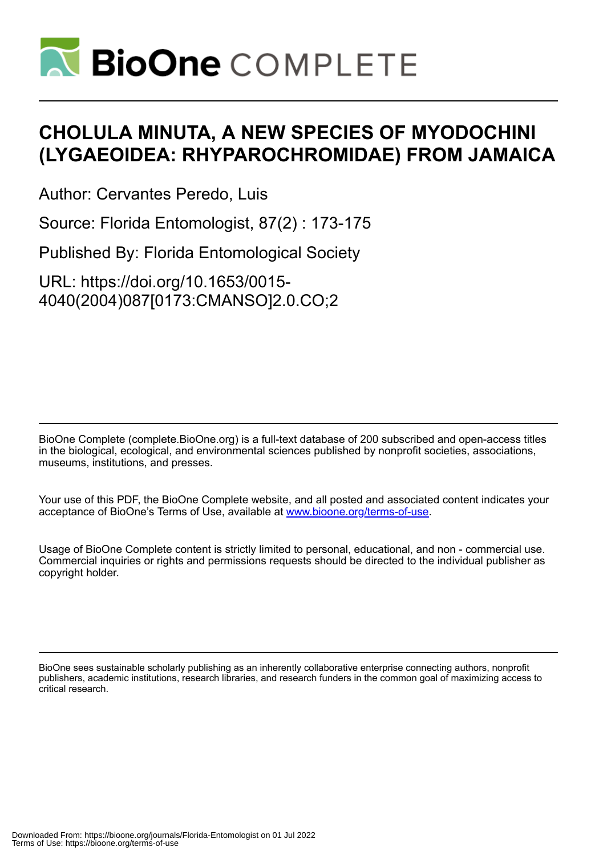

# **CHOLULA MINUTA, A NEW SPECIES OF MYODOCHINI (LYGAEOIDEA: RHYPAROCHROMIDAE) FROM JAMAICA**

Author: Cervantes Peredo, Luis

Source: Florida Entomologist, 87(2) : 173-175

Published By: Florida Entomological Society

URL: https://doi.org/10.1653/0015- 4040(2004)087[0173:CMANSO]2.0.CO;2

BioOne Complete (complete.BioOne.org) is a full-text database of 200 subscribed and open-access titles in the biological, ecological, and environmental sciences published by nonprofit societies, associations, museums, institutions, and presses.

Your use of this PDF, the BioOne Complete website, and all posted and associated content indicates your acceptance of BioOne's Terms of Use, available at www.bioone.org/terms-of-use.

Usage of BioOne Complete content is strictly limited to personal, educational, and non - commercial use. Commercial inquiries or rights and permissions requests should be directed to the individual publisher as copyright holder.

BioOne sees sustainable scholarly publishing as an inherently collaborative enterprise connecting authors, nonprofit publishers, academic institutions, research libraries, and research funders in the common goal of maximizing access to critical research.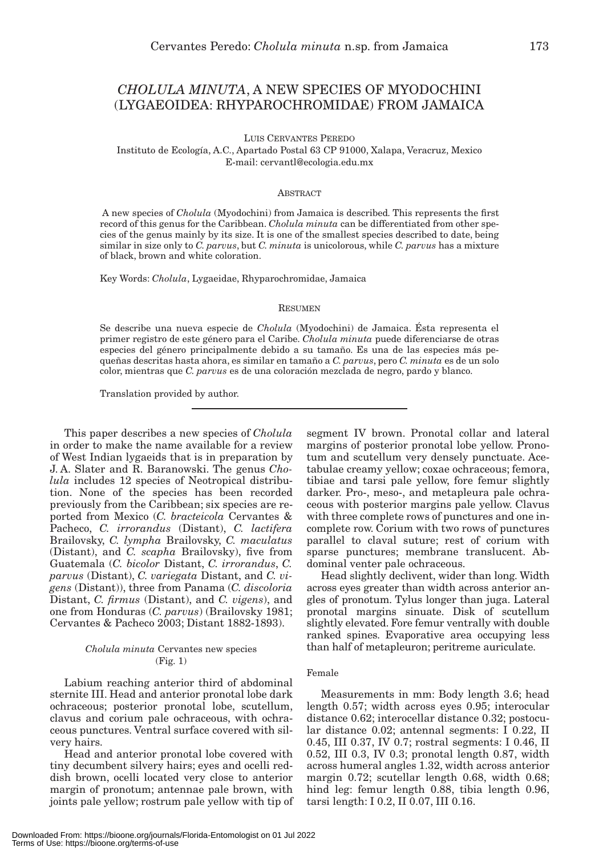# *CHOLULA MINUTA*, A NEW SPECIES OF MYODOCHINI (LYGAEOIDEA: RHYPAROCHROMIDAE) FROM JAMAICA

LUIS CERVANTES PEREDO

Instituto de Ecología, A.C., Apartado Postal 63 CP 91000, Xalapa, Veracruz, Mexico E-mail: cervantl@ecologia.edu.mx

#### **ABSTRACT**

A new species of *Cholula* (Myodochini) from Jamaica is described*.* This represents the first record of this genus for the Caribbean. *Cholula minuta* can be differentiated from other species of the genus mainly by its size. It is one of the smallest species described to date, being similar in size only to *C. parvus*, but *C. minuta* is unicolorous, while *C. parvus* has a mixture of black, brown and white coloration.

Key Words: *Cholula*, Lygaeidae, Rhyparochromidae, Jamaica

#### RESUMEN

Se describe una nueva especie de *Cholula* (Myodochini) de Jamaica. Ésta representa el primer registro de este género para el Caribe. *Cholula minuta* puede diferenciarse de otras especies del género principalmente debido a su tamaño. Es una de las especies más pequeñas descritas hasta ahora, es similar en tamaño a *C. parvus*, pero *C. minuta* es de un solo color, mientras que *C. parvus* es de una coloración mezclada de negro, pardo y blanco.

Translation provided by author.

This paper describes a new species of *Cholula* in order to make the name available for a review of West Indian lygaeids that is in preparation by J. A. Slater and R. Baranowski. The genus *Cholula* includes 12 species of Neotropical distribution. None of the species has been recorded previously from the Caribbean; six species are reported from Mexico (*C. bracteicola* Cervantes & Pacheco, *C. irrorandus* (Distant), *C. lactifera* Brailovsky, *C. lympha* Brailovsky, *C. maculatus* (Distant), and *C. scapha* Brailovsky), five from Guatemala (*C. bicolor* Distant, *C. irrorandus*, *C. parvus* (Distant), *C. variegata* Distant, and *C. vigens* (Distant)), three from Panama (*C. discoloria* Distant, *C. firmus* (Distant), and *C. vigens*), and one from Honduras (*C. parvus*) (Brailovsky 1981; Cervantes & Pacheco 2003; Distant 1882-1893).

#### *Cholula minuta* Cervantes new species (Fig. 1)

Labium reaching anterior third of abdominal sternite III. Head and anterior pronotal lobe dark ochraceous; posterior pronotal lobe, scutellum, clavus and corium pale ochraceous, with ochraceous punctures. Ventral surface covered with silvery hairs.

Head and anterior pronotal lobe covered with tiny decumbent silvery hairs; eyes and ocelli reddish brown, ocelli located very close to anterior margin of pronotum; antennae pale brown, with joints pale yellow; rostrum pale yellow with tip of segment IV brown. Pronotal collar and lateral margins of posterior pronotal lobe yellow. Pronotum and scutellum very densely punctuate. Acetabulae creamy yellow; coxae ochraceous; femora, tibiae and tarsi pale yellow, fore femur slightly darker. Pro-, meso-, and metapleura pale ochraceous with posterior margins pale yellow. Clavus with three complete rows of punctures and one incomplete row. Corium with two rows of punctures parallel to claval suture; rest of corium with sparse punctures; membrane translucent. Abdominal venter pale ochraceous.

Head slightly declivent, wider than long. Width across eyes greater than width across anterior angles of pronotum. Tylus longer than juga. Lateral pronotal margins sinuate. Disk of scutellum slightly elevated. Fore femur ventrally with double ranked spines. Evaporative area occupying less than half of metapleuron; peritreme auriculate.

### Female

Measurements in mm: Body length 3.6; head length 0.57; width across eyes 0.95; interocular distance 0.62; interocellar distance 0.32; postocular distance 0.02; antennal segments: I 0.22, II 0.45, III 0.37, IV 0.7; rostral segments: I 0.46, II 0.52, III 0.3, IV 0.3; pronotal length 0.87, width across humeral angles 1.32, width across anterior margin 0.72; scutellar length 0.68, width 0.68; hind leg: femur length 0.88, tibia length 0.96, tarsi length: I 0.2, II 0.07, III 0.16.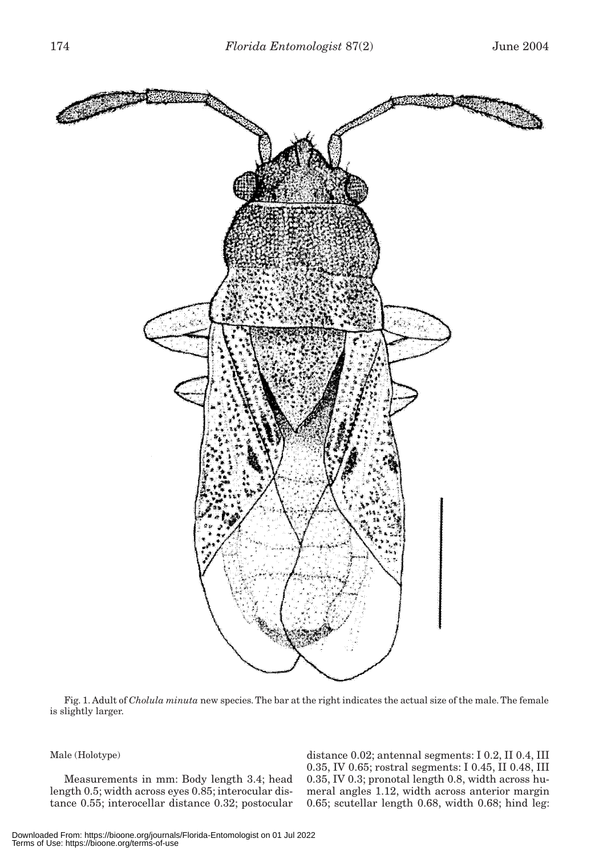

Fig. 1. Adult of *Cholula minuta* new species. The bar at the right indicates the actual size of the male. The female is slightly larger.

## Male (Holotype)

Measurements in mm: Body length 3.4; head length 0.5; width across eyes 0.85; interocular distance 0.55; interocellar distance 0.32; postocular distance 0.02; antennal segments: I 0.2, II 0.4, III 0.35, IV 0.65; rostral segments: I 0.45, II 0.48, III 0.35, IV 0.3; pronotal length 0.8, width across humeral angles 1.12, width across anterior margin 0.65; scutellar length 0.68, width 0.68; hind leg: